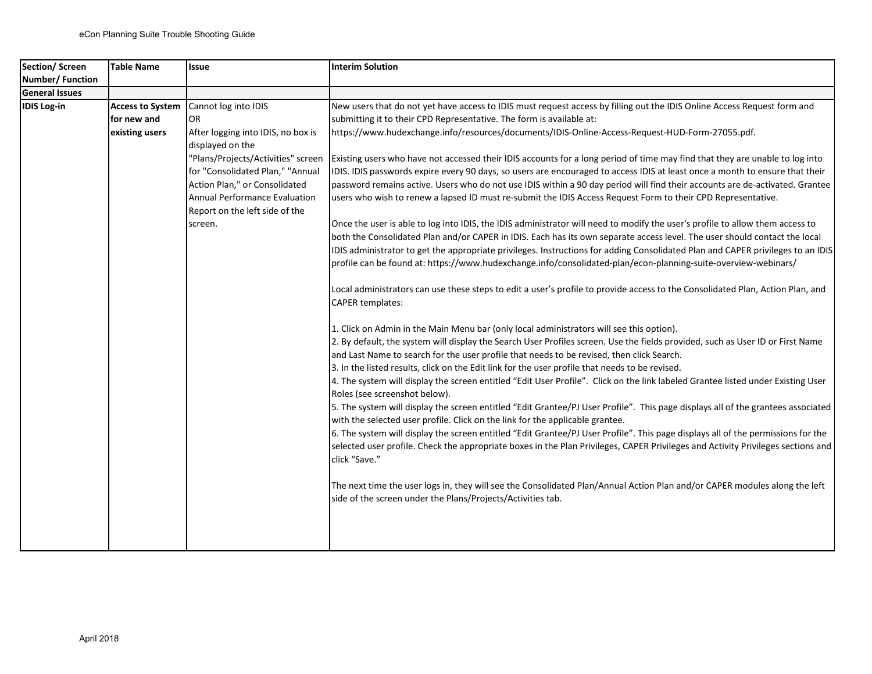| Section/Screen        | <b>Table Name</b>       | <b>Issue</b>                       | <b>Interim Solution</b>                                                                                                                                                                                           |
|-----------------------|-------------------------|------------------------------------|-------------------------------------------------------------------------------------------------------------------------------------------------------------------------------------------------------------------|
| Number/Function       |                         |                                    |                                                                                                                                                                                                                   |
| <b>General Issues</b> |                         |                                    |                                                                                                                                                                                                                   |
| IDIS Log-in           | <b>Access to System</b> | Cannot log into IDIS               | New users that do not yet have access to IDIS must request access by filling out the IDIS Online Access Request form and                                                                                          |
|                       | for new and             | OR.                                | submitting it to their CPD Representative. The form is available at:                                                                                                                                              |
|                       | existing users          | After logging into IDIS, no box is | https://www.hudexchange.info/resources/documents/IDIS-Online-Access-Request-HUD-Form-27055.pdf.                                                                                                                   |
|                       |                         | displayed on the                   |                                                                                                                                                                                                                   |
|                       |                         | "Plans/Projects/Activities" screen | Existing users who have not accessed their IDIS accounts for a long period of time may find that they are unable to log into                                                                                      |
|                       |                         | for "Consolidated Plan," "Annual   | IDIS. IDIS passwords expire every 90 days, so users are encouraged to access IDIS at least once a month to ensure that their                                                                                      |
|                       |                         | Action Plan," or Consolidated      | password remains active. Users who do not use IDIS within a 90 day period will find their accounts are de-activated. Grantee                                                                                      |
|                       |                         | Annual Performance Evaluation      | users who wish to renew a lapsed ID must re-submit the IDIS Access Request Form to their CPD Representative.                                                                                                      |
|                       |                         | Report on the left side of the     |                                                                                                                                                                                                                   |
|                       |                         | screen.                            | Once the user is able to log into IDIS, the IDIS administrator will need to modify the user's profile to allow them access to                                                                                     |
|                       |                         |                                    | both the Consolidated Plan and/or CAPER in IDIS. Each has its own separate access level. The user should contact the local                                                                                        |
|                       |                         |                                    | IDIS administrator to get the appropriate privileges. Instructions for adding Consolidated Plan and CAPER privileges to an IDIS                                                                                   |
|                       |                         |                                    | profile can be found at: https://www.hudexchange.info/consolidated-plan/econ-planning-suite-overview-webinars/                                                                                                    |
|                       |                         |                                    |                                                                                                                                                                                                                   |
|                       |                         |                                    | Local administrators can use these steps to edit a user's profile to provide access to the Consolidated Plan, Action Plan, and                                                                                    |
|                       |                         |                                    | <b>CAPER templates:</b>                                                                                                                                                                                           |
|                       |                         |                                    | 1. Click on Admin in the Main Menu bar (only local administrators will see this option).                                                                                                                          |
|                       |                         |                                    | 2. By default, the system will display the Search User Profiles screen. Use the fields provided, such as User ID or First Name                                                                                    |
|                       |                         |                                    | and Last Name to search for the user profile that needs to be revised, then click Search.                                                                                                                         |
|                       |                         |                                    | 3. In the listed results, click on the Edit link for the user profile that needs to be revised.                                                                                                                   |
|                       |                         |                                    | 4. The system will display the screen entitled "Edit User Profile". Click on the link labeled Grantee listed under Existing User<br>Roles (see screenshot below).                                                 |
|                       |                         |                                    | 5. The system will display the screen entitled "Edit Grantee/PJ User Profile". This page displays all of the grantees associated<br>with the selected user profile. Click on the link for the applicable grantee. |
|                       |                         |                                    | 6. The system will display the screen entitled "Edit Grantee/PJ User Profile". This page displays all of the permissions for the                                                                                  |
|                       |                         |                                    | selected user profile. Check the appropriate boxes in the Plan Privileges, CAPER Privileges and Activity Privileges sections and                                                                                  |
|                       |                         |                                    | click "Save."                                                                                                                                                                                                     |
|                       |                         |                                    | The next time the user logs in, they will see the Consolidated Plan/Annual Action Plan and/or CAPER modules along the left                                                                                        |
|                       |                         |                                    | side of the screen under the Plans/Projects/Activities tab.                                                                                                                                                       |
|                       |                         |                                    |                                                                                                                                                                                                                   |
|                       |                         |                                    |                                                                                                                                                                                                                   |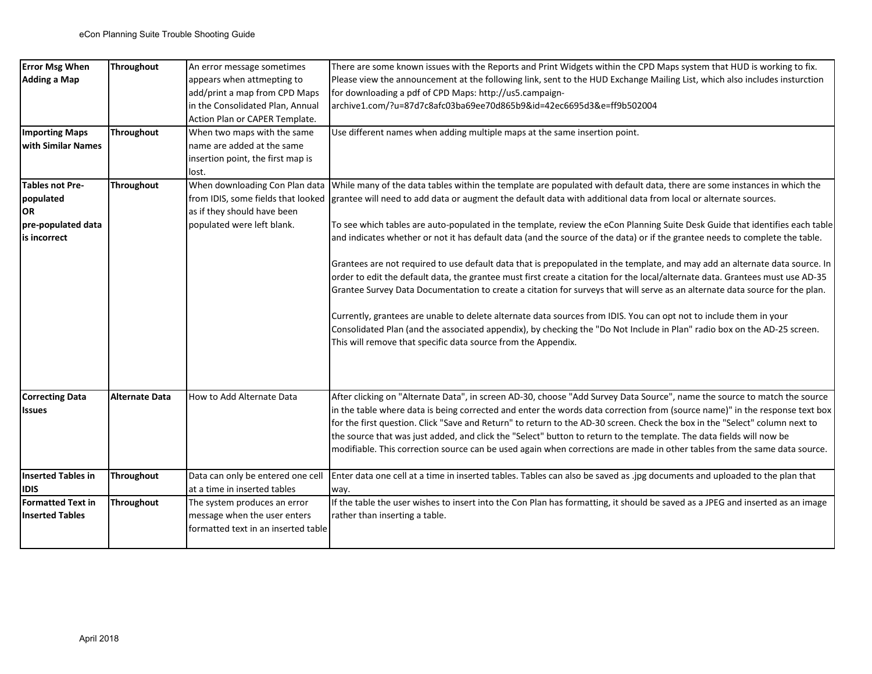| <b>Error Msg When</b>     | <b>Throughout</b>     | An error message sometimes          | There are some known issues with the Reports and Print Widgets within the CPD Maps system that HUD is working to fix.          |
|---------------------------|-----------------------|-------------------------------------|--------------------------------------------------------------------------------------------------------------------------------|
| Adding a Map              |                       | appears when attmepting to          | Please view the announcement at the following link, sent to the HUD Exchange Mailing List, which also includes insturction     |
|                           |                       | add/print a map from CPD Maps       | for downloading a pdf of CPD Maps: http://us5.campaign-                                                                        |
|                           |                       | in the Consolidated Plan, Annual    | archive1.com/?u=87d7c8afc03ba69ee70d865b9&id=42ec6695d3&e=ff9b502004                                                           |
|                           |                       | Action Plan or CAPER Template.      |                                                                                                                                |
| <b>Importing Maps</b>     | <b>Throughout</b>     | When two maps with the same         | Use different names when adding multiple maps at the same insertion point.                                                     |
| <b>with Similar Names</b> |                       | name are added at the same          |                                                                                                                                |
|                           |                       | insertion point, the first map is   |                                                                                                                                |
|                           |                       | lost.                               |                                                                                                                                |
| Tables not Pre-           | <b>Throughout</b>     | When downloading Con Plan data      | While many of the data tables within the template are populated with default data, there are some instances in which the       |
| populated                 |                       | from IDIS, some fields that looked  | grantee will need to add data or augment the default data with additional data from local or alternate sources.                |
| OR]                       |                       | as if they should have been         |                                                                                                                                |
| pre-populated data        |                       | populated were left blank.          | To see which tables are auto-populated in the template, review the eCon Planning Suite Desk Guide that identifies each table   |
| lis incorrect             |                       |                                     | and indicates whether or not it has default data (and the source of the data) or if the grantee needs to complete the table.   |
|                           |                       |                                     | Grantees are not required to use default data that is prepopulated in the template, and may add an alternate data source. In   |
|                           |                       |                                     | order to edit the default data, the grantee must first create a citation for the local/alternate data. Grantees must use AD-35 |
|                           |                       |                                     | Grantee Survey Data Documentation to create a citation for surveys that will serve as an alternate data source for the plan.   |
|                           |                       |                                     |                                                                                                                                |
|                           |                       |                                     | Currently, grantees are unable to delete alternate data sources from IDIS. You can opt not to include them in your             |
|                           |                       |                                     | Consolidated Plan (and the associated appendix), by checking the "Do Not Include in Plan" radio box on the AD-25 screen.       |
|                           |                       |                                     | This will remove that specific data source from the Appendix.                                                                  |
|                           |                       |                                     |                                                                                                                                |
| <b>Correcting Data</b>    | <b>Alternate Data</b> | How to Add Alternate Data           | After clicking on "Alternate Data", in screen AD-30, choose "Add Survey Data Source", name the source to match the source      |
| <b>Issues</b>             |                       |                                     | in the table where data is being corrected and enter the words data correction from (source name)" in the response text box    |
|                           |                       |                                     | for the first question. Click "Save and Return" to return to the AD-30 screen. Check the box in the "Select" column next to    |
|                           |                       |                                     | the source that was just added, and click the "Select" button to return to the template. The data fields will now be           |
|                           |                       |                                     | modifiable. This correction source can be used again when corrections are made in other tables from the same data source.      |
|                           |                       |                                     |                                                                                                                                |
| Inserted Tables in        | <b>Throughout</b>     | Data can only be entered one cell   | Enter data one cell at a time in inserted tables. Tables can also be saved as .jpg documents and uploaded to the plan that     |
| <b>IDIS</b>               |                       | at a time in inserted tables        | way.                                                                                                                           |
| <b>Formatted Text in</b>  | Throughout            | The system produces an error        | If the table the user wishes to insert into the Con Plan has formatting, it should be saved as a JPEG and inserted as an image |
| <b>Inserted Tables</b>    |                       | message when the user enters        | rather than inserting a table.                                                                                                 |
|                           |                       | formatted text in an inserted table |                                                                                                                                |
|                           |                       |                                     |                                                                                                                                |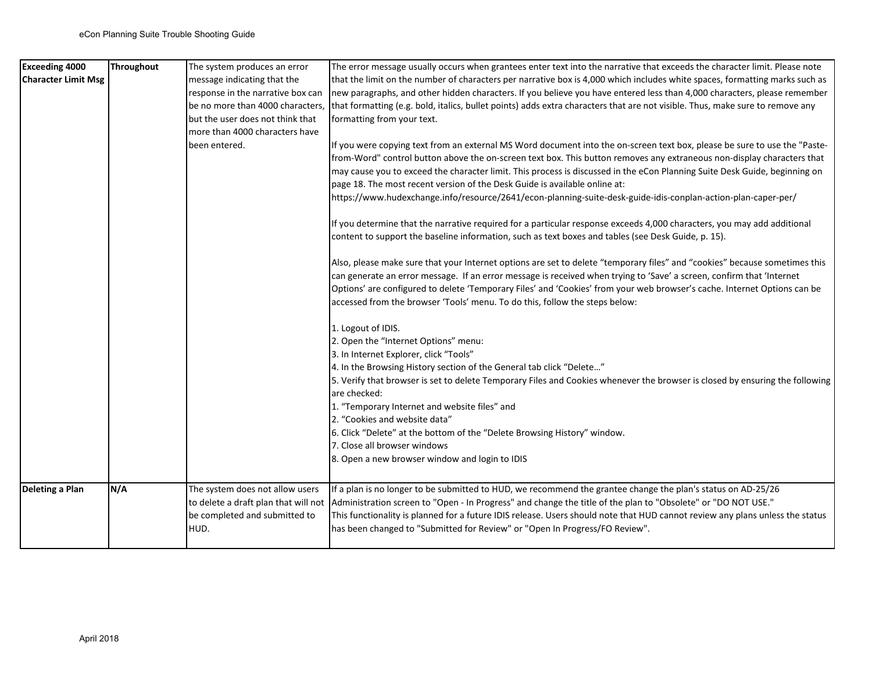| <b>Exceeding 4000</b>      | Throughout | The system produces an error                                                                                     | The error message usually occurs when grantees enter text into the narrative that exceeds the character limit. Please note                                                                                                                                                                                                                                                                                                                                                                                                                                                   |
|----------------------------|------------|------------------------------------------------------------------------------------------------------------------|------------------------------------------------------------------------------------------------------------------------------------------------------------------------------------------------------------------------------------------------------------------------------------------------------------------------------------------------------------------------------------------------------------------------------------------------------------------------------------------------------------------------------------------------------------------------------|
| <b>Character Limit Msg</b> |            | message indicating that the                                                                                      | that the limit on the number of characters per narrative box is 4,000 which includes white spaces, formatting marks such as                                                                                                                                                                                                                                                                                                                                                                                                                                                  |
|                            |            | response in the narrative box can                                                                                | new paragraphs, and other hidden characters. If you believe you have entered less than 4,000 characters, please remember                                                                                                                                                                                                                                                                                                                                                                                                                                                     |
|                            |            | be no more than 4000 characters,                                                                                 | that formatting (e.g. bold, italics, bullet points) adds extra characters that are not visible. Thus, make sure to remove any                                                                                                                                                                                                                                                                                                                                                                                                                                                |
|                            |            | but the user does not think that                                                                                 | formatting from your text.                                                                                                                                                                                                                                                                                                                                                                                                                                                                                                                                                   |
|                            |            | more than 4000 characters have                                                                                   |                                                                                                                                                                                                                                                                                                                                                                                                                                                                                                                                                                              |
|                            |            | been entered.                                                                                                    | If you were copying text from an external MS Word document into the on-screen text box, please be sure to use the "Paste-<br>from-Word" control button above the on-screen text box. This button removes any extraneous non-display characters that                                                                                                                                                                                                                                                                                                                          |
|                            |            |                                                                                                                  | may cause you to exceed the character limit. This process is discussed in the eCon Planning Suite Desk Guide, beginning on<br>page 18. The most recent version of the Desk Guide is available online at:                                                                                                                                                                                                                                                                                                                                                                     |
|                            |            |                                                                                                                  | https://www.hudexchange.info/resource/2641/econ-planning-suite-desk-guide-idis-conplan-action-plan-caper-per/                                                                                                                                                                                                                                                                                                                                                                                                                                                                |
|                            |            |                                                                                                                  | If you determine that the narrative required for a particular response exceeds 4,000 characters, you may add additional<br>content to support the baseline information, such as text boxes and tables (see Desk Guide, p. 15).                                                                                                                                                                                                                                                                                                                                               |
|                            |            |                                                                                                                  | Also, please make sure that your Internet options are set to delete "temporary files" and "cookies" because sometimes this<br>can generate an error message. If an error message is received when trying to 'Save' a screen, confirm that 'Internet<br>Options' are configured to delete 'Temporary Files' and 'Cookies' from your web browser's cache. Internet Options can be<br>accessed from the browser 'Tools' menu. To do this, follow the steps below:                                                                                                               |
|                            |            |                                                                                                                  | 1. Logout of IDIS.<br>2. Open the "Internet Options" menu:<br>3. In Internet Explorer, click "Tools"<br>4. In the Browsing History section of the General tab click "Delete"<br>5. Verify that browser is set to delete Temporary Files and Cookies whenever the browser is closed by ensuring the following<br>are checked:<br>1. "Temporary Internet and website files" and<br>2. "Cookies and website data"<br>6. Click "Delete" at the bottom of the "Delete Browsing History" window.<br>7. Close all browser windows<br>8. Open a new browser window and login to IDIS |
| Deleting a Plan            | N/A        | The system does not allow users<br>to delete a draft plan that will not<br>be completed and submitted to<br>HUD. | If a plan is no longer to be submitted to HUD, we recommend the grantee change the plan's status on AD-25/26<br>Administration screen to "Open - In Progress" and change the title of the plan to "Obsolete" or "DO NOT USE."<br>This functionality is planned for a future IDIS release. Users should note that HUD cannot review any plans unless the status<br>has been changed to "Submitted for Review" or "Open In Progress/FO Review".                                                                                                                                |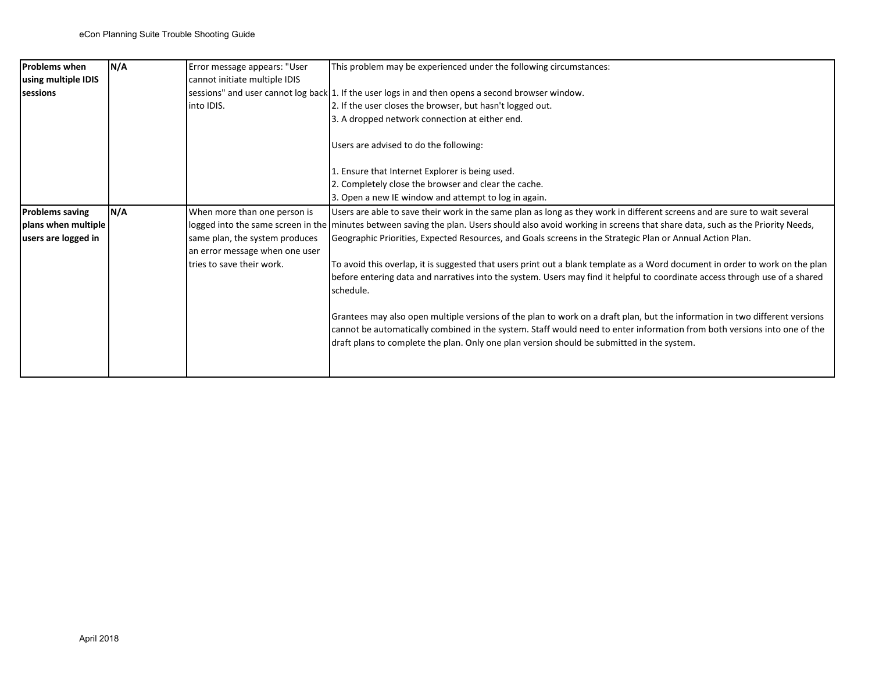| Problems when          | N/A | Error message appears: "User   | This problem may be experienced under the following circumstances:                                                                                                                                                                                                                                                                                    |
|------------------------|-----|--------------------------------|-------------------------------------------------------------------------------------------------------------------------------------------------------------------------------------------------------------------------------------------------------------------------------------------------------------------------------------------------------|
| using multiple IDIS    |     | cannot initiate multiple IDIS  |                                                                                                                                                                                                                                                                                                                                                       |
| <b>sessions</b>        |     |                                | sessions" and user cannot log back 1. If the user logs in and then opens a second browser window.                                                                                                                                                                                                                                                     |
|                        |     | into IDIS.                     | 2. If the user closes the browser, but hasn't logged out.                                                                                                                                                                                                                                                                                             |
|                        |     |                                | 3. A dropped network connection at either end.                                                                                                                                                                                                                                                                                                        |
|                        |     |                                | Users are advised to do the following:                                                                                                                                                                                                                                                                                                                |
|                        |     |                                | 1. Ensure that Internet Explorer is being used.                                                                                                                                                                                                                                                                                                       |
|                        |     |                                | 2. Completely close the browser and clear the cache.                                                                                                                                                                                                                                                                                                  |
|                        |     |                                | 3. Open a new IE window and attempt to log in again.                                                                                                                                                                                                                                                                                                  |
| <b>Problems saving</b> | N/A | When more than one person is   | Users are able to save their work in the same plan as long as they work in different screens and are sure to wait several                                                                                                                                                                                                                             |
| plans when multiple    |     |                                | logged into the same screen in the minutes between saving the plan. Users should also avoid working in screens that share data, such as the Priority Needs,                                                                                                                                                                                           |
| users are logged in    |     | same plan, the system produces | Geographic Priorities, Expected Resources, and Goals screens in the Strategic Plan or Annual Action Plan.                                                                                                                                                                                                                                             |
|                        |     | an error message when one user |                                                                                                                                                                                                                                                                                                                                                       |
|                        |     | tries to save their work.      | To avoid this overlap, it is suggested that users print out a blank template as a Word document in order to work on the plan                                                                                                                                                                                                                          |
|                        |     |                                | before entering data and narratives into the system. Users may find it helpful to coordinate access through use of a shared<br>schedule.                                                                                                                                                                                                              |
|                        |     |                                |                                                                                                                                                                                                                                                                                                                                                       |
|                        |     |                                | Grantees may also open multiple versions of the plan to work on a draft plan, but the information in two different versions<br>cannot be automatically combined in the system. Staff would need to enter information from both versions into one of the<br>draft plans to complete the plan. Only one plan version should be submitted in the system. |
|                        |     |                                |                                                                                                                                                                                                                                                                                                                                                       |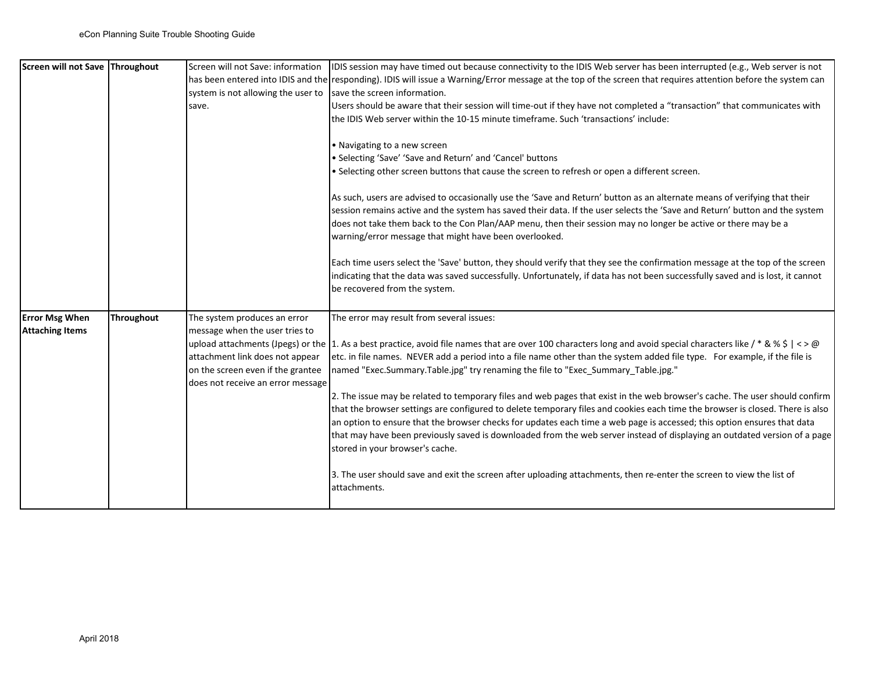| Screen will not Save Throughout                 |            | Screen will not Save: information<br>system is not allowing the user to<br>save.                                                                                            | IDIS session may have timed out because connectivity to the IDIS Web server has been interrupted (e.g., Web server is not<br>has been entered into IDIS and the responding). IDIS will issue a Warning/Error message at the top of the screen that requires attention before the system can<br>save the screen information.<br>Users should be aware that their session will time-out if they have not completed a "transaction" that communicates with<br>the IDIS Web server within the 10-15 minute timeframe. Such 'transactions' include:<br>• Navigating to a new screen<br>• Selecting 'Save' 'Save and Return' and 'Cancel' buttons<br>. Selecting other screen buttons that cause the screen to refresh or open a different screen.<br>As such, users are advised to occasionally use the 'Save and Return' button as an alternate means of verifying that their<br>session remains active and the system has saved their data. If the user selects the 'Save and Return' button and the system<br>does not take them back to the Con Plan/AAP menu, then their session may no longer be active or there may be a<br>warning/error message that might have been overlooked.<br>Each time users select the 'Save' button, they should verify that they see the confirmation message at the top of the screen<br>indicating that the data was saved successfully. Unfortunately, if data has not been successfully saved and is lost, it cannot<br>be recovered from the system. |
|-------------------------------------------------|------------|-----------------------------------------------------------------------------------------------------------------------------------------------------------------------------|-----------------------------------------------------------------------------------------------------------------------------------------------------------------------------------------------------------------------------------------------------------------------------------------------------------------------------------------------------------------------------------------------------------------------------------------------------------------------------------------------------------------------------------------------------------------------------------------------------------------------------------------------------------------------------------------------------------------------------------------------------------------------------------------------------------------------------------------------------------------------------------------------------------------------------------------------------------------------------------------------------------------------------------------------------------------------------------------------------------------------------------------------------------------------------------------------------------------------------------------------------------------------------------------------------------------------------------------------------------------------------------------------------------------------------------------------------------------------------------------|
| <b>Error Msg When</b><br><b>Attaching Items</b> | Throughout | The system produces an error<br>message when the user tries to<br>attachment link does not appear<br>on the screen even if the grantee<br>does not receive an error message | The error may result from several issues:<br>upload attachments (Jpegs) or the 1. As a best practice, avoid file names that are over 100 characters long and avoid special characters like / * & % \$   < > @<br>etc. in file names. NEVER add a period into a file name other than the system added file type. For example, if the file is<br>named "Exec.Summary.Table.jpg" try renaming the file to "Exec_Summary_Table.jpg."<br>2. The issue may be related to temporary files and web pages that exist in the web browser's cache. The user should confirm<br>that the browser settings are configured to delete temporary files and cookies each time the browser is closed. There is also<br>an option to ensure that the browser checks for updates each time a web page is accessed; this option ensures that data<br>that may have been previously saved is downloaded from the web server instead of displaying an outdated version of a page<br>stored in your browser's cache.<br>3. The user should save and exit the screen after uploading attachments, then re-enter the screen to view the list of<br>attachments.                                                                                                                                                                                                                                                                                                                                                    |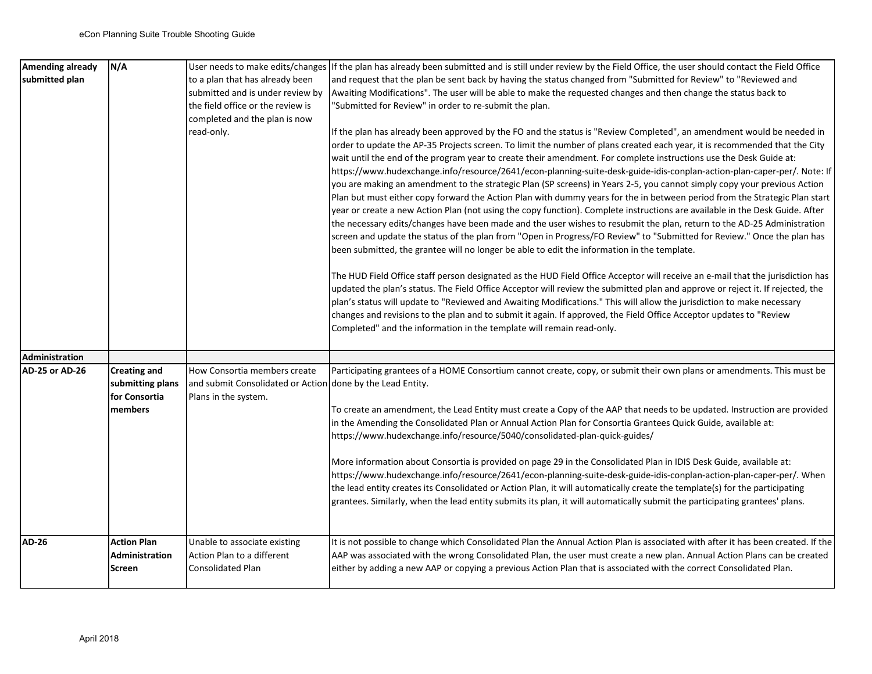| <b>Amending already</b> | N/A                             |                                                            | User needs to make edits/changes If the plan has already been submitted and is still under review by the Field Office, the user should contact the Field Office                                                                                                                                                                                                                                                                                                                                                                                                                                                                                                                                                                                                                                                                                                                                                                                                                                                                                                                                                                                                                                                                                                                                                                                                                                                                                                                                                                                                                                                                                                                                                                                                                                                                                   |
|-------------------------|---------------------------------|------------------------------------------------------------|---------------------------------------------------------------------------------------------------------------------------------------------------------------------------------------------------------------------------------------------------------------------------------------------------------------------------------------------------------------------------------------------------------------------------------------------------------------------------------------------------------------------------------------------------------------------------------------------------------------------------------------------------------------------------------------------------------------------------------------------------------------------------------------------------------------------------------------------------------------------------------------------------------------------------------------------------------------------------------------------------------------------------------------------------------------------------------------------------------------------------------------------------------------------------------------------------------------------------------------------------------------------------------------------------------------------------------------------------------------------------------------------------------------------------------------------------------------------------------------------------------------------------------------------------------------------------------------------------------------------------------------------------------------------------------------------------------------------------------------------------------------------------------------------------------------------------------------------------|
| submitted plan          |                                 | to a plan that has already been                            | and request that the plan be sent back by having the status changed from "Submitted for Review" to "Reviewed and                                                                                                                                                                                                                                                                                                                                                                                                                                                                                                                                                                                                                                                                                                                                                                                                                                                                                                                                                                                                                                                                                                                                                                                                                                                                                                                                                                                                                                                                                                                                                                                                                                                                                                                                  |
|                         |                                 | submitted and is under review by                           | Awaiting Modifications". The user will be able to make the requested changes and then change the status back to                                                                                                                                                                                                                                                                                                                                                                                                                                                                                                                                                                                                                                                                                                                                                                                                                                                                                                                                                                                                                                                                                                                                                                                                                                                                                                                                                                                                                                                                                                                                                                                                                                                                                                                                   |
|                         |                                 | the field office or the review is                          | "Submitted for Review" in order to re-submit the plan.                                                                                                                                                                                                                                                                                                                                                                                                                                                                                                                                                                                                                                                                                                                                                                                                                                                                                                                                                                                                                                                                                                                                                                                                                                                                                                                                                                                                                                                                                                                                                                                                                                                                                                                                                                                            |
|                         |                                 | completed and the plan is now                              |                                                                                                                                                                                                                                                                                                                                                                                                                                                                                                                                                                                                                                                                                                                                                                                                                                                                                                                                                                                                                                                                                                                                                                                                                                                                                                                                                                                                                                                                                                                                                                                                                                                                                                                                                                                                                                                   |
|                         |                                 | read-only.                                                 | If the plan has already been approved by the FO and the status is "Review Completed", an amendment would be needed in<br>order to update the AP-35 Projects screen. To limit the number of plans created each year, it is recommended that the City<br>wait until the end of the program year to create their amendment. For complete instructions use the Desk Guide at:<br>https://www.hudexchange.info/resource/2641/econ-planning-suite-desk-guide-idis-conplan-action-plan-caper-per/. Note: If<br>you are making an amendment to the strategic Plan (SP screens) in Years 2-5, you cannot simply copy your previous Action<br>Plan but must either copy forward the Action Plan with dummy years for the in between period from the Strategic Plan start<br>year or create a new Action Plan (not using the copy function). Complete instructions are available in the Desk Guide. After<br>the necessary edits/changes have been made and the user wishes to resubmit the plan, return to the AD-25 Administration<br>screen and update the status of the plan from "Open in Progress/FO Review" to "Submitted for Review." Once the plan has<br>been submitted, the grantee will no longer be able to edit the information in the template.<br>The HUD Field Office staff person designated as the HUD Field Office Acceptor will receive an e-mail that the jurisdiction has<br>updated the plan's status. The Field Office Acceptor will review the submitted plan and approve or reject it. If rejected, the<br>plan's status will update to "Reviewed and Awaiting Modifications." This will allow the jurisdiction to make necessary<br>changes and revisions to the plan and to submit it again. If approved, the Field Office Acceptor updates to "Review<br>Completed" and the information in the template will remain read-only. |
| <b>Administration</b>   |                                 |                                                            |                                                                                                                                                                                                                                                                                                                                                                                                                                                                                                                                                                                                                                                                                                                                                                                                                                                                                                                                                                                                                                                                                                                                                                                                                                                                                                                                                                                                                                                                                                                                                                                                                                                                                                                                                                                                                                                   |
| <b>AD-25 or AD-26</b>   | <b>Creating and</b>             | How Consortia members create                               | Participating grantees of a HOME Consortium cannot create, copy, or submit their own plans or amendments. This must be                                                                                                                                                                                                                                                                                                                                                                                                                                                                                                                                                                                                                                                                                                                                                                                                                                                                                                                                                                                                                                                                                                                                                                                                                                                                                                                                                                                                                                                                                                                                                                                                                                                                                                                            |
|                         | submitting plans                | and submit Consolidated or Action done by the Lead Entity. |                                                                                                                                                                                                                                                                                                                                                                                                                                                                                                                                                                                                                                                                                                                                                                                                                                                                                                                                                                                                                                                                                                                                                                                                                                                                                                                                                                                                                                                                                                                                                                                                                                                                                                                                                                                                                                                   |
|                         | for Consortia                   | Plans in the system.                                       |                                                                                                                                                                                                                                                                                                                                                                                                                                                                                                                                                                                                                                                                                                                                                                                                                                                                                                                                                                                                                                                                                                                                                                                                                                                                                                                                                                                                                                                                                                                                                                                                                                                                                                                                                                                                                                                   |
|                         | members                         |                                                            | To create an amendment, the Lead Entity must create a Copy of the AAP that needs to be updated. Instruction are provided<br>in the Amending the Consolidated Plan or Annual Action Plan for Consortia Grantees Quick Guide, available at:<br>https://www.hudexchange.info/resource/5040/consolidated-plan-quick-guides/                                                                                                                                                                                                                                                                                                                                                                                                                                                                                                                                                                                                                                                                                                                                                                                                                                                                                                                                                                                                                                                                                                                                                                                                                                                                                                                                                                                                                                                                                                                           |
|                         |                                 |                                                            | More information about Consortia is provided on page 29 in the Consolidated Plan in IDIS Desk Guide, available at:<br>https://www.hudexchange.info/resource/2641/econ-planning-suite-desk-guide-idis-conplan-action-plan-caper-per/. When<br>the lead entity creates its Consolidated or Action Plan, it will automatically create the template(s) for the participating<br>grantees. Similarly, when the lead entity submits its plan, it will automatically submit the participating grantees' plans.                                                                                                                                                                                                                                                                                                                                                                                                                                                                                                                                                                                                                                                                                                                                                                                                                                                                                                                                                                                                                                                                                                                                                                                                                                                                                                                                           |
| AD-26                   | <b>Action Plan</b>              | Unable to associate existing                               | It is not possible to change which Consolidated Plan the Annual Action Plan is associated with after it has been created. If the                                                                                                                                                                                                                                                                                                                                                                                                                                                                                                                                                                                                                                                                                                                                                                                                                                                                                                                                                                                                                                                                                                                                                                                                                                                                                                                                                                                                                                                                                                                                                                                                                                                                                                                  |
|                         | <b>Administration</b><br>Screen | Action Plan to a different<br><b>Consolidated Plan</b>     | AAP was associated with the wrong Consolidated Plan, the user must create a new plan. Annual Action Plans can be created<br>either by adding a new AAP or copying a previous Action Plan that is associated with the correct Consolidated Plan.                                                                                                                                                                                                                                                                                                                                                                                                                                                                                                                                                                                                                                                                                                                                                                                                                                                                                                                                                                                                                                                                                                                                                                                                                                                                                                                                                                                                                                                                                                                                                                                                   |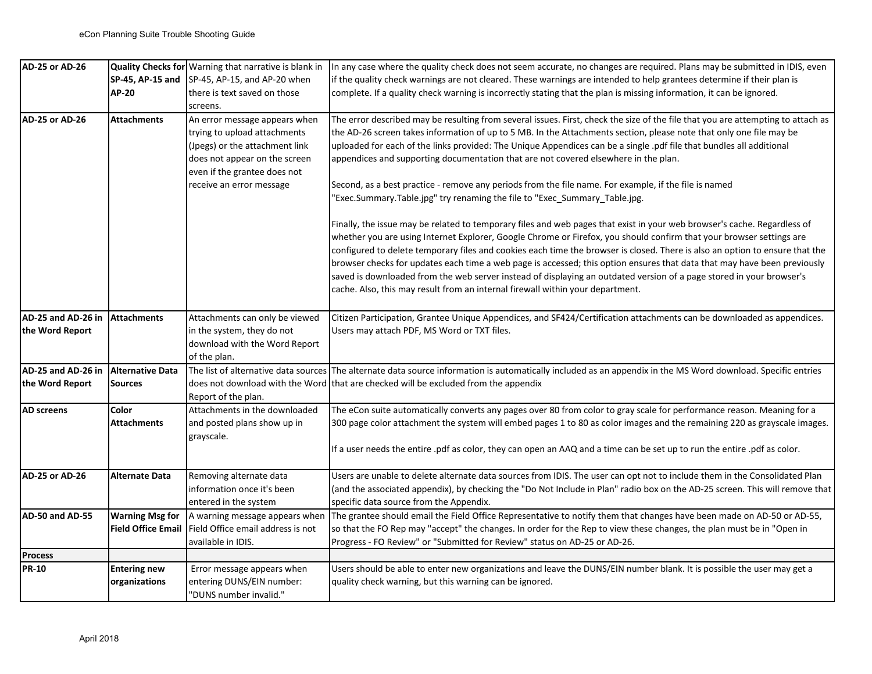| <b>AD-25 or AD-26</b> |                                      | Quality Checks for Warning that narrative is blank in                                                                                                            | In any case where the quality check does not seem accurate, no changes are required. Plans may be submitted in IDIS, even                                                                                                                                                                                                                                                                                                                                                                                                                                                                                                                                                                                              |
|-----------------------|--------------------------------------|------------------------------------------------------------------------------------------------------------------------------------------------------------------|------------------------------------------------------------------------------------------------------------------------------------------------------------------------------------------------------------------------------------------------------------------------------------------------------------------------------------------------------------------------------------------------------------------------------------------------------------------------------------------------------------------------------------------------------------------------------------------------------------------------------------------------------------------------------------------------------------------------|
|                       |                                      | SP-45, AP-15 and SP-45, AP-15, and AP-20 when                                                                                                                    | if the quality check warnings are not cleared. These warnings are intended to help grantees determine if their plan is                                                                                                                                                                                                                                                                                                                                                                                                                                                                                                                                                                                                 |
|                       | AP-20                                | there is text saved on those                                                                                                                                     | complete. If a quality check warning is incorrectly stating that the plan is missing information, it can be ignored.                                                                                                                                                                                                                                                                                                                                                                                                                                                                                                                                                                                                   |
|                       |                                      | screens.                                                                                                                                                         |                                                                                                                                                                                                                                                                                                                                                                                                                                                                                                                                                                                                                                                                                                                        |
| AD-25 or AD-26        | <b>Attachments</b>                   | An error message appears when<br>trying to upload attachments<br>(Jpegs) or the attachment link<br>does not appear on the screen<br>even if the grantee does not | The error described may be resulting from several issues. First, check the size of the file that you are attempting to attach as<br>the AD-26 screen takes information of up to 5 MB. In the Attachments section, please note that only one file may be<br>uploaded for each of the links provided: The Unique Appendices can be a single .pdf file that bundles all additional<br>appendices and supporting documentation that are not covered elsewhere in the plan.                                                                                                                                                                                                                                                 |
|                       |                                      | receive an error message                                                                                                                                         | Second, as a best practice - remove any periods from the file name. For example, if the file is named<br>'Exec.Summary.Table.jpg" try renaming the file to "Exec_Summary_Table.jpg.                                                                                                                                                                                                                                                                                                                                                                                                                                                                                                                                    |
|                       |                                      |                                                                                                                                                                  | Finally, the issue may be related to temporary files and web pages that exist in your web browser's cache. Regardless of<br>whether you are using Internet Explorer, Google Chrome or Firefox, you should confirm that your browser settings are<br>configured to delete temporary files and cookies each time the browser is closed. There is also an option to ensure that the<br>browser checks for updates each time a web page is accessed; this option ensures that data that may have been previously<br>saved is downloaded from the web server instead of displaying an outdated version of a page stored in your browser's<br>cache. Also, this may result from an internal firewall within your department. |
| AD-25 and AD-26 in    | <b>Attachments</b>                   | Attachments can only be viewed                                                                                                                                   | Citizen Participation, Grantee Unique Appendices, and SF424/Certification attachments can be downloaded as appendices.                                                                                                                                                                                                                                                                                                                                                                                                                                                                                                                                                                                                 |
| the Word Report       |                                      | in the system, they do not                                                                                                                                       | Users may attach PDF, MS Word or TXT files.                                                                                                                                                                                                                                                                                                                                                                                                                                                                                                                                                                                                                                                                            |
|                       |                                      | download with the Word Report                                                                                                                                    |                                                                                                                                                                                                                                                                                                                                                                                                                                                                                                                                                                                                                                                                                                                        |
|                       |                                      | of the plan.                                                                                                                                                     |                                                                                                                                                                                                                                                                                                                                                                                                                                                                                                                                                                                                                                                                                                                        |
| AD-25 and AD-26 in    | <b>Alternative Data</b>              | The list of alternative data sources                                                                                                                             | The alternate data source information is automatically included as an appendix in the MS Word download. Specific entries                                                                                                                                                                                                                                                                                                                                                                                                                                                                                                                                                                                               |
| the Word Report       | Sources                              |                                                                                                                                                                  | does not download with the Word that are checked will be excluded from the appendix                                                                                                                                                                                                                                                                                                                                                                                                                                                                                                                                                                                                                                    |
|                       |                                      | Report of the plan.                                                                                                                                              |                                                                                                                                                                                                                                                                                                                                                                                                                                                                                                                                                                                                                                                                                                                        |
| AD screens            | Color                                | Attachments in the downloaded                                                                                                                                    | The eCon suite automatically converts any pages over 80 from color to gray scale for performance reason. Meaning for a                                                                                                                                                                                                                                                                                                                                                                                                                                                                                                                                                                                                 |
|                       | <b>Attachments</b>                   | and posted plans show up in<br>grayscale.                                                                                                                        | 300 page color attachment the system will embed pages 1 to 80 as color images and the remaining 220 as grayscale images.                                                                                                                                                                                                                                                                                                                                                                                                                                                                                                                                                                                               |
|                       |                                      |                                                                                                                                                                  | If a user needs the entire .pdf as color, they can open an AAQ and a time can be set up to run the entire .pdf as color.                                                                                                                                                                                                                                                                                                                                                                                                                                                                                                                                                                                               |
| AD-25 or AD-26        | <b>Alternate Data</b>                | Removing alternate data                                                                                                                                          | Users are unable to delete alternate data sources from IDIS. The user can opt not to include them in the Consolidated Plan                                                                                                                                                                                                                                                                                                                                                                                                                                                                                                                                                                                             |
|                       |                                      | information once it's been                                                                                                                                       | (and the associated appendix), by checking the "Do Not Include in Plan" radio box on the AD-25 screen. This will remove that                                                                                                                                                                                                                                                                                                                                                                                                                                                                                                                                                                                           |
|                       |                                      | entered in the system                                                                                                                                            | specific data source from the Appendix.                                                                                                                                                                                                                                                                                                                                                                                                                                                                                                                                                                                                                                                                                |
| AD-50 and AD-55       | <b>Warning Msg for</b>               | A warning message appears when                                                                                                                                   | The grantee should email the Field Office Representative to notify them that changes have been made on AD-50 or AD-55,                                                                                                                                                                                                                                                                                                                                                                                                                                                                                                                                                                                                 |
|                       | <b>Field Office Email</b>            | Field Office email address is not                                                                                                                                | so that the FO Rep may "accept" the changes. In order for the Rep to view these changes, the plan must be in "Open in                                                                                                                                                                                                                                                                                                                                                                                                                                                                                                                                                                                                  |
|                       |                                      | available in IDIS.                                                                                                                                               | Progress - FO Review" or "Submitted for Review" status on AD-25 or AD-26.                                                                                                                                                                                                                                                                                                                                                                                                                                                                                                                                                                                                                                              |
| <b>Process</b>        |                                      |                                                                                                                                                                  |                                                                                                                                                                                                                                                                                                                                                                                                                                                                                                                                                                                                                                                                                                                        |
| <b>PR-10</b>          | <b>Entering new</b><br>organizations | Error message appears when<br>entering DUNS/EIN number:<br>"DUNS number invalid."                                                                                | Users should be able to enter new organizations and leave the DUNS/EIN number blank. It is possible the user may get a<br>quality check warning, but this warning can be ignored.                                                                                                                                                                                                                                                                                                                                                                                                                                                                                                                                      |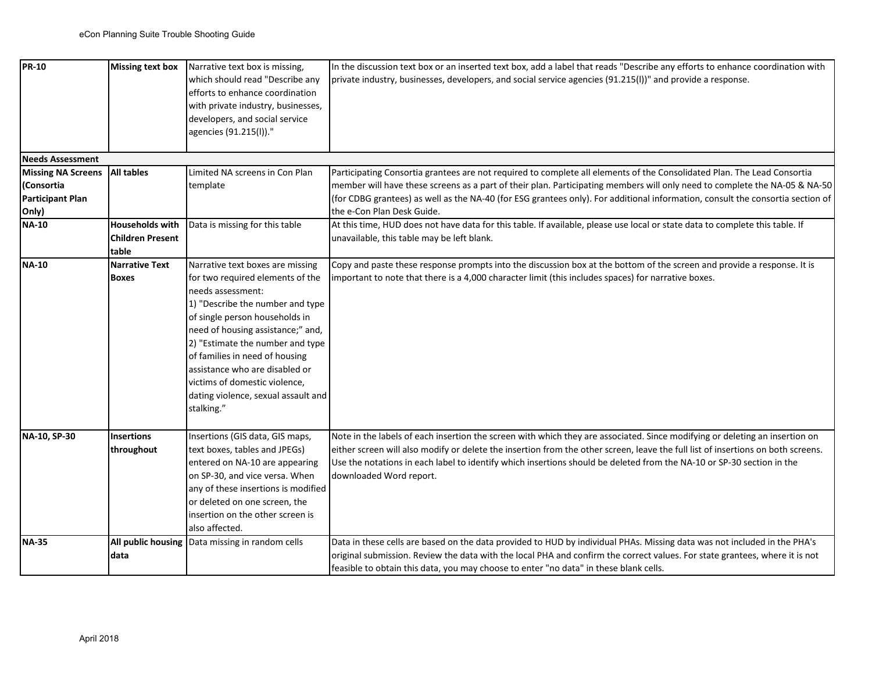| <b>PR-10</b>              | Missing text box        | Narrative text box is missing,      | In the discussion text box or an inserted text box, add a label that reads "Describe any efforts to enhance coordination with    |
|---------------------------|-------------------------|-------------------------------------|----------------------------------------------------------------------------------------------------------------------------------|
|                           |                         | which should read "Describe any     | private industry, businesses, developers, and social service agencies (91.215(I))" and provide a response.                       |
|                           |                         | efforts to enhance coordination     |                                                                                                                                  |
|                           |                         | with private industry, businesses,  |                                                                                                                                  |
|                           |                         | developers, and social service      |                                                                                                                                  |
|                           |                         | agencies (91.215(l))."              |                                                                                                                                  |
|                           |                         |                                     |                                                                                                                                  |
| <b>Needs Assessment</b>   |                         |                                     |                                                                                                                                  |
| <b>Missing NA Screens</b> | <b>All tables</b>       | Limited NA screens in Con Plan      | Participating Consortia grantees are not required to complete all elements of the Consolidated Plan. The Lead Consortia          |
| (Consortia                |                         | template                            | member will have these screens as a part of their plan. Participating members will only need to complete the NA-05 & NA-50       |
| Participant Plan          |                         |                                     | (for CDBG grantees) as well as the NA-40 (for ESG grantees only). For additional information, consult the consortia section of   |
| Only)                     |                         |                                     | the e-Con Plan Desk Guide.                                                                                                       |
| <b>NA-10</b>              | <b>Households with</b>  | Data is missing for this table      | At this time, HUD does not have data for this table. If available, please use local or state data to complete this table. If     |
|                           | <b>Children Present</b> |                                     | unavailable, this table may be left blank.                                                                                       |
|                           | table                   |                                     |                                                                                                                                  |
| <b>NA-10</b>              | <b>Narrative Text</b>   | Narrative text boxes are missing    | Copy and paste these response prompts into the discussion box at the bottom of the screen and provide a response. It is          |
|                           | <b>Boxes</b>            | for two required elements of the    | important to note that there is a 4,000 character limit (this includes spaces) for narrative boxes.                              |
|                           |                         | needs assessment:                   |                                                                                                                                  |
|                           |                         | 1) "Describe the number and type    |                                                                                                                                  |
|                           |                         | of single person households in      |                                                                                                                                  |
|                           |                         | need of housing assistance;" and,   |                                                                                                                                  |
|                           |                         | 2) "Estimate the number and type    |                                                                                                                                  |
|                           |                         | of families in need of housing      |                                                                                                                                  |
|                           |                         | assistance who are disabled or      |                                                                                                                                  |
|                           |                         | victims of domestic violence,       |                                                                                                                                  |
|                           |                         | dating violence, sexual assault and |                                                                                                                                  |
|                           |                         | stalking."                          |                                                                                                                                  |
|                           |                         |                                     |                                                                                                                                  |
| NA-10, SP-30              | <b>Insertions</b>       | Insertions (GIS data, GIS maps,     | Note in the labels of each insertion the screen with which they are associated. Since modifying or deleting an insertion on      |
|                           | throughout              | text boxes, tables and JPEGs)       | either screen will also modify or delete the insertion from the other screen, leave the full list of insertions on both screens. |
|                           |                         | entered on NA-10 are appearing      | Use the notations in each label to identify which insertions should be deleted from the NA-10 or SP-30 section in the            |
|                           |                         | on SP-30, and vice versa. When      | downloaded Word report.                                                                                                          |
|                           |                         | any of these insertions is modified |                                                                                                                                  |
|                           |                         | or deleted on one screen, the       |                                                                                                                                  |
|                           |                         | insertion on the other screen is    |                                                                                                                                  |
|                           |                         | also affected.                      |                                                                                                                                  |
| <b>NA-35</b>              | All public housing      | Data missing in random cells        | Data in these cells are based on the data provided to HUD by individual PHAs. Missing data was not included in the PHA's         |
|                           | data                    |                                     | original submission. Review the data with the local PHA and confirm the correct values. For state grantees, where it is not      |
|                           |                         |                                     | feasible to obtain this data, you may choose to enter "no data" in these blank cells.                                            |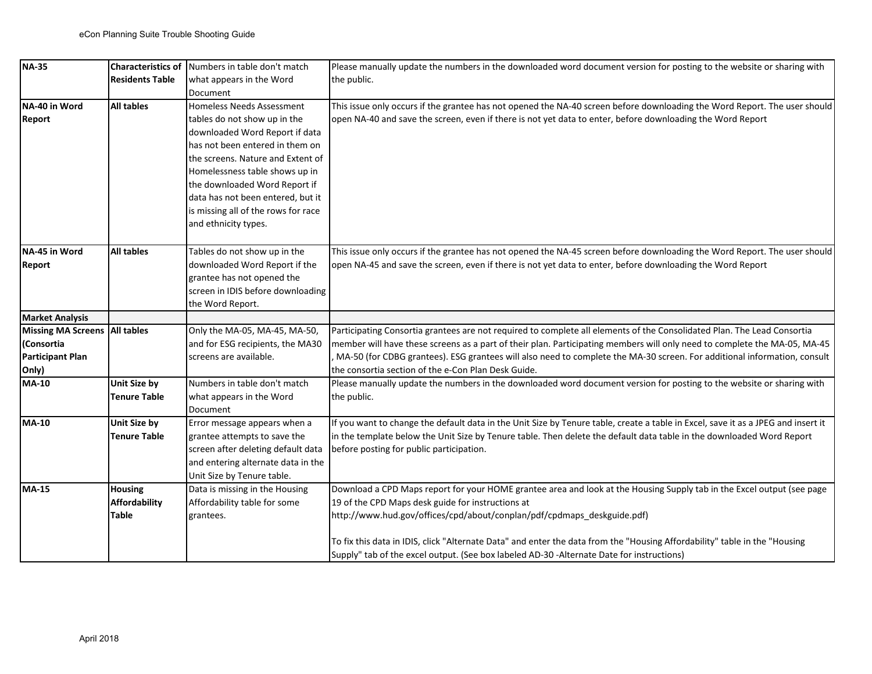| $NA-35$                 | <b>Characteristics of</b> | Numbers in table don't match        | Please manually update the numbers in the downloaded word document version for posting to the website or sharing with             |
|-------------------------|---------------------------|-------------------------------------|-----------------------------------------------------------------------------------------------------------------------------------|
|                         | <b>Residents Table</b>    | what appears in the Word            | the public.                                                                                                                       |
|                         |                           | Document                            |                                                                                                                                   |
| NA-40 in Word           | <b>All tables</b>         | Homeless Needs Assessment           | This issue only occurs if the grantee has not opened the NA-40 screen before downloading the Word Report. The user should         |
| <b>Report</b>           |                           | tables do not show up in the        | open NA-40 and save the screen, even if there is not yet data to enter, before downloading the Word Report                        |
|                         |                           | downloaded Word Report if data      |                                                                                                                                   |
|                         |                           | has not been entered in them on     |                                                                                                                                   |
|                         |                           | the screens. Nature and Extent of   |                                                                                                                                   |
|                         |                           | Homelessness table shows up in      |                                                                                                                                   |
|                         |                           | the downloaded Word Report if       |                                                                                                                                   |
|                         |                           | data has not been entered, but it   |                                                                                                                                   |
|                         |                           | is missing all of the rows for race |                                                                                                                                   |
|                         |                           | and ethnicity types.                |                                                                                                                                   |
|                         |                           |                                     |                                                                                                                                   |
| <b>NA-45 in Word</b>    | <b>All tables</b>         | Tables do not show up in the        | This issue only occurs if the grantee has not opened the NA-45 screen before downloading the Word Report. The user should         |
| <b>Report</b>           |                           | downloaded Word Report if the       | open NA-45 and save the screen, even if there is not yet data to enter, before downloading the Word Report                        |
|                         |                           | grantee has not opened the          |                                                                                                                                   |
|                         |                           | screen in IDIS before downloading   |                                                                                                                                   |
|                         |                           | the Word Report.                    |                                                                                                                                   |
| <b>Market Analysis</b>  |                           |                                     |                                                                                                                                   |
| Missing MA Screens      | <b>All tables</b>         | Only the MA-05, MA-45, MA-50,       | Participating Consortia grantees are not required to complete all elements of the Consolidated Plan. The Lead Consortia           |
| (Consortia              |                           | and for ESG recipients, the MA30    | member will have these screens as a part of their plan. Participating members will only need to complete the MA-05, MA-45         |
| <b>Participant Plan</b> |                           | screens are available.              | MA-50 (for CDBG grantees). ESG grantees will also need to complete the MA-30 screen. For additional information, consult          |
| Only)                   |                           |                                     | the consortia section of the e-Con Plan Desk Guide.                                                                               |
| <b>MA-10</b>            | <b>Unit Size by</b>       | Numbers in table don't match        | Please manually update the numbers in the downloaded word document version for posting to the website or sharing with             |
|                         | <b>Tenure Table</b>       | what appears in the Word            | the public.                                                                                                                       |
|                         |                           | Document                            |                                                                                                                                   |
| MA-10                   | Unit Size by              | Error message appears when a        | If you want to change the default data in the Unit Size by Tenure table, create a table in Excel, save it as a JPEG and insert it |
|                         | <b>Tenure Table</b>       | grantee attempts to save the        | in the template below the Unit Size by Tenure table. Then delete the default data table in the downloaded Word Report             |
|                         |                           | screen after deleting default data  | before posting for public participation.                                                                                          |
|                         |                           | and entering alternate data in the  |                                                                                                                                   |
|                         |                           | Unit Size by Tenure table.          |                                                                                                                                   |
| MA-15                   | <b>Housing</b>            | Data is missing in the Housing      | Download a CPD Maps report for your HOME grantee area and look at the Housing Supply tab in the Excel output (see page            |
|                         | <b>Affordability</b>      | Affordability table for some        | 19 of the CPD Maps desk guide for instructions at                                                                                 |
|                         | Table                     | grantees.                           | http://www.hud.gov/offices/cpd/about/conplan/pdf/cpdmaps deskguide.pdf)                                                           |
|                         |                           |                                     |                                                                                                                                   |
|                         |                           |                                     | To fix this data in IDIS, click "Alternate Data" and enter the data from the "Housing Affordability" table in the "Housing        |
|                         |                           |                                     | Supply" tab of the excel output. (See box labeled AD-30 -Alternate Date for instructions)                                         |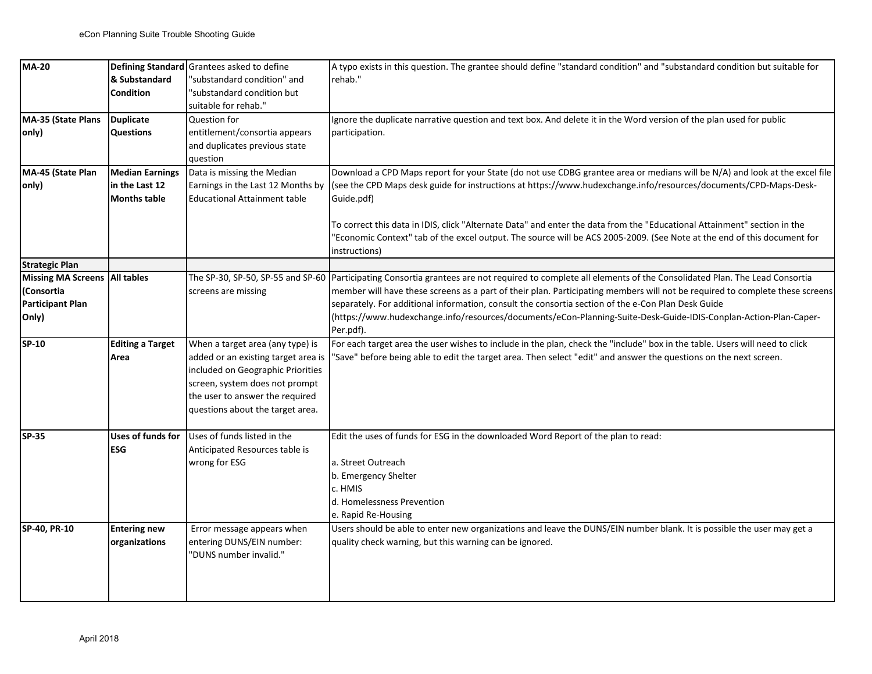| <b>MA-20</b>                  |                         | Defining Standard Grantees asked to define | A typo exists in this question. The grantee should define "standard condition" and "substandard condition but suitable for   |
|-------------------------------|-------------------------|--------------------------------------------|------------------------------------------------------------------------------------------------------------------------------|
|                               | & Substandard           |                                            | rehab."                                                                                                                      |
|                               |                         | 'substandard condition" and                |                                                                                                                              |
|                               | Condition               | 'substandard condition but                 |                                                                                                                              |
|                               |                         | suitable for rehab."                       |                                                                                                                              |
| MA-35 (State Plans            | <b>Duplicate</b>        | Question for                               | Ignore the duplicate narrative question and text box. And delete it in the Word version of the plan used for public          |
| only)                         | <b>Questions</b>        | entitlement/consortia appears              | participation.                                                                                                               |
|                               |                         | and duplicates previous state              |                                                                                                                              |
|                               |                         | question                                   |                                                                                                                              |
| MA-45 (State Plan             | <b>Median Earnings</b>  | Data is missing the Median                 | Download a CPD Maps report for your State (do not use CDBG grantee area or medians will be N/A) and look at the excel file   |
| only)                         | in the Last 12          | Earnings in the Last 12 Months by          | (see the CPD Maps desk guide for instructions at https://www.hudexchange.info/resources/documents/CPD-Maps-Desk-             |
|                               | <b>Months table</b>     | <b>Educational Attainment table</b>        | Guide.pdf)                                                                                                                   |
|                               |                         |                                            |                                                                                                                              |
|                               |                         |                                            | To correct this data in IDIS, click "Alternate Data" and enter the data from the "Educational Attainment" section in the     |
|                               |                         |                                            | 'Economic Context" tab of the excel output. The source will be ACS 2005-2009. (See Note at the end of this document for      |
|                               |                         |                                            | instructions)                                                                                                                |
| <b>Strategic Plan</b>         |                         |                                            |                                                                                                                              |
| Missing MA Screens All tables |                         | The SP-30, SP-50, SP-55 and SP-60          | Participating Consortia grantees are not required to complete all elements of the Consolidated Plan. The Lead Consortia      |
| (Consortia                    |                         | screens are missing                        | member will have these screens as a part of their plan. Participating members will not be required to complete these screens |
| Participant Plan              |                         |                                            | separately. For additional information, consult the consortia section of the e-Con Plan Desk Guide                           |
| Only)                         |                         |                                            | (https://www.hudexchange.info/resources/documents/eCon-Planning-Suite-Desk-Guide-IDIS-Conplan-Action-Plan-Caper-             |
|                               |                         |                                            | Per.pdf).                                                                                                                    |
| SP-10                         | <b>Editing a Target</b> | When a target area (any type) is           | For each target area the user wishes to include in the plan, check the "include" box in the table. Users will need to click  |
|                               | Area                    | added or an existing target area is        | 'Save" before being able to edit the target area. Then select "edit" and answer the questions on the next screen.            |
|                               |                         | included on Geographic Priorities          |                                                                                                                              |
|                               |                         | screen, system does not prompt             |                                                                                                                              |
|                               |                         | the user to answer the required            |                                                                                                                              |
|                               |                         | questions about the target area.           |                                                                                                                              |
|                               |                         |                                            |                                                                                                                              |
| <b>SP-35</b>                  | Uses of funds for       | Uses of funds listed in the                | Edit the uses of funds for ESG in the downloaded Word Report of the plan to read:                                            |
|                               | <b>ESG</b>              | Anticipated Resources table is             |                                                                                                                              |
|                               |                         | wrong for ESG                              | a. Street Outreach                                                                                                           |
|                               |                         |                                            | b. Emergency Shelter                                                                                                         |
|                               |                         |                                            | c. HMIS                                                                                                                      |
|                               |                         |                                            | d. Homelessness Prevention                                                                                                   |
|                               |                         |                                            | e. Rapid Re-Housing                                                                                                          |
| SP-40, PR-10                  | <b>Entering new</b>     | Error message appears when                 | Users should be able to enter new organizations and leave the DUNS/EIN number blank. It is possible the user may get a       |
|                               | organizations           | entering DUNS/EIN number:                  | quality check warning, but this warning can be ignored.                                                                      |
|                               |                         | "DUNS number invalid."                     |                                                                                                                              |
|                               |                         |                                            |                                                                                                                              |
|                               |                         |                                            |                                                                                                                              |
|                               |                         |                                            |                                                                                                                              |
|                               |                         |                                            |                                                                                                                              |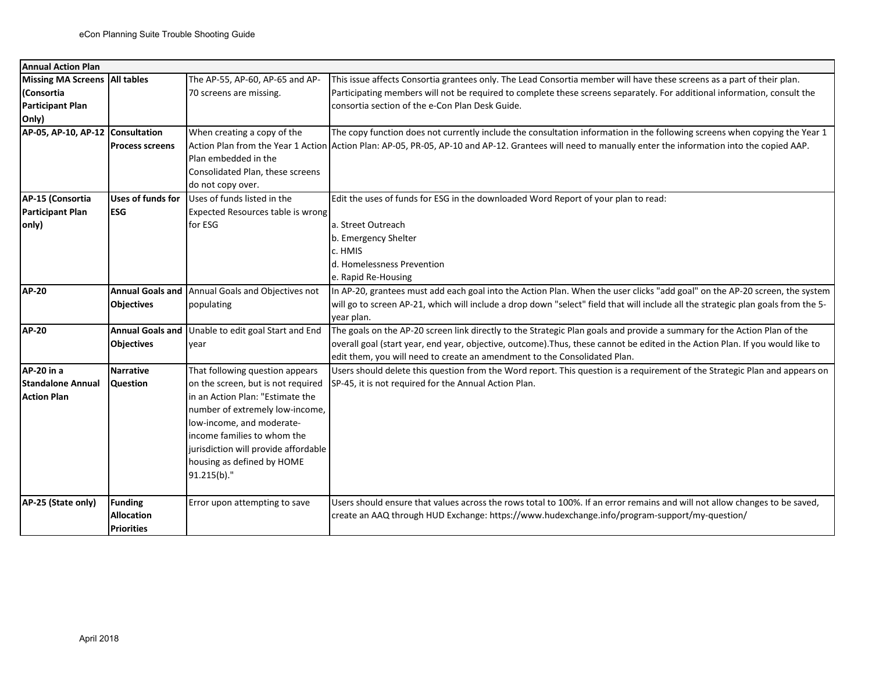| <b>Annual Action Plan</b>        |                         |                                      |                                                                                                                                                          |
|----------------------------------|-------------------------|--------------------------------------|----------------------------------------------------------------------------------------------------------------------------------------------------------|
| Missing MA Screens   All tables  |                         | The AP-55, AP-60, AP-65 and AP-      | This issue affects Consortia grantees only. The Lead Consortia member will have these screens as a part of their plan.                                   |
| Consortia                        |                         | 70 screens are missing.              | Participating members will not be required to complete these screens separately. For additional information, consult the                                 |
| Participant Plan                 |                         |                                      | consortia section of the e-Con Plan Desk Guide.                                                                                                          |
| Only)                            |                         |                                      |                                                                                                                                                          |
| AP-05, AP-10, AP-12 Consultation |                         | When creating a copy of the          | The copy function does not currently include the consultation information in the following screens when copying the Year 1                               |
|                                  | <b>Process screens</b>  |                                      | Action Plan from the Year 1 Action Action Plan: AP-05, PR-05, AP-10 and AP-12. Grantees will need to manually enter the information into the copied AAP. |
|                                  |                         | Plan embedded in the                 |                                                                                                                                                          |
|                                  |                         | Consolidated Plan, these screens     |                                                                                                                                                          |
|                                  |                         | do not copy over.                    |                                                                                                                                                          |
| AP-15 (Consortia                 | Uses of funds for       | Uses of funds listed in the          | Edit the uses of funds for ESG in the downloaded Word Report of your plan to read:                                                                       |
| Participant Plan                 | <b>ESG</b>              | Expected Resources table is wrong    |                                                                                                                                                          |
| only)                            |                         | for ESG                              | a. Street Outreach                                                                                                                                       |
|                                  |                         |                                      | b. Emergency Shelter                                                                                                                                     |
|                                  |                         |                                      | c. HMIS                                                                                                                                                  |
|                                  |                         |                                      | d. Homelessness Prevention                                                                                                                               |
|                                  |                         |                                      | e. Rapid Re-Housing                                                                                                                                      |
| <b>AP-20</b>                     | <b>Annual Goals and</b> | Annual Goals and Objectives not      | In AP-20, grantees must add each goal into the Action Plan. When the user clicks "add goal" on the AP-20 screen, the system                              |
|                                  | <b>Objectives</b>       | populating                           | will go to screen AP-21, which will include a drop down "select" field that will include all the strategic plan goals from the 5-                        |
|                                  |                         |                                      | vear plan.                                                                                                                                               |
| <b>AP-20</b>                     | <b>Annual Goals and</b> | Unable to edit goal Start and End    | The goals on the AP-20 screen link directly to the Strategic Plan goals and provide a summary for the Action Plan of the                                 |
|                                  | <b>Objectives</b>       | year                                 | overall goal (start year, end year, objective, outcome). Thus, these cannot be edited in the Action Plan. If you would like to                           |
|                                  |                         |                                      | edit them, you will need to create an amendment to the Consolidated Plan.                                                                                |
| AP-20 in a                       | <b>Narrative</b>        | That following question appears      | Users should delete this question from the Word report. This question is a requirement of the Strategic Plan and appears on                              |
| <b>Standalone Annual</b>         | <b>Question</b>         | on the screen, but is not required   | SP-45, it is not required for the Annual Action Plan.                                                                                                    |
| <b>Action Plan</b>               |                         | in an Action Plan: "Estimate the     |                                                                                                                                                          |
|                                  |                         | number of extremely low-income,      |                                                                                                                                                          |
|                                  |                         | low-income, and moderate-            |                                                                                                                                                          |
|                                  |                         | income families to whom the          |                                                                                                                                                          |
|                                  |                         | jurisdiction will provide affordable |                                                                                                                                                          |
|                                  |                         | housing as defined by HOME           |                                                                                                                                                          |
|                                  |                         | 91.215(b)."                          |                                                                                                                                                          |
|                                  |                         |                                      |                                                                                                                                                          |
| AP-25 (State only)               | <b>Funding</b>          | Error upon attempting to save        | Users should ensure that values across the rows total to 100%. If an error remains and will not allow changes to be saved,                               |
|                                  | <b>Allocation</b>       |                                      | create an AAQ through HUD Exchange: https://www.hudexchange.info/program-support/my-question/                                                            |
|                                  | <b>Priorities</b>       |                                      |                                                                                                                                                          |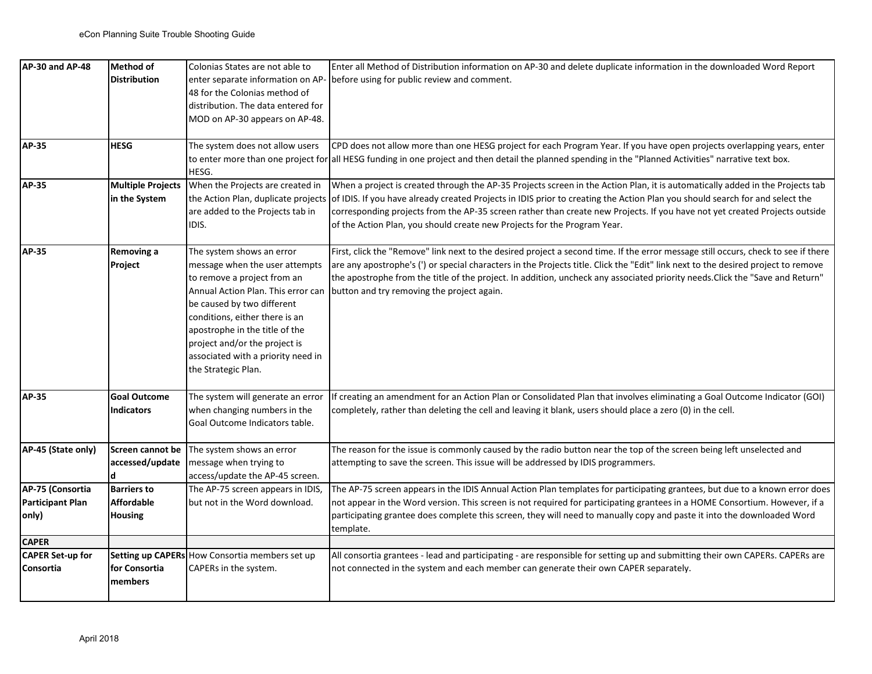| AP-30 and AP-48                               | <b>Method of</b><br><b>Distribution</b>                   | Colonias States are not able to                                                                                                                                                                                                                                                                                                  | Enter all Method of Distribution information on AP-30 and delete duplicate information in the downloaded Word Report<br>enter separate information on AP- before using for public review and comment.                                                                                                                                                                                                                                                                   |
|-----------------------------------------------|-----------------------------------------------------------|----------------------------------------------------------------------------------------------------------------------------------------------------------------------------------------------------------------------------------------------------------------------------------------------------------------------------------|-------------------------------------------------------------------------------------------------------------------------------------------------------------------------------------------------------------------------------------------------------------------------------------------------------------------------------------------------------------------------------------------------------------------------------------------------------------------------|
|                                               |                                                           | 48 for the Colonias method of<br>distribution. The data entered for<br>MOD on AP-30 appears on AP-48.                                                                                                                                                                                                                            |                                                                                                                                                                                                                                                                                                                                                                                                                                                                         |
| AP-35                                         | <b>HESG</b>                                               | The system does not allow users<br>HESG.                                                                                                                                                                                                                                                                                         | CPD does not allow more than one HESG project for each Program Year. If you have open projects overlapping years, enter<br>to enter more than one project for all HESG funding in one project and then detail the planned spending in the "Planned Activities" narrative text box.                                                                                                                                                                                      |
| <b>AP-35</b>                                  | <b>Multiple Projects</b><br>in the System                 | When the Projects are created in<br>the Action Plan, duplicate projects<br>are added to the Projects tab in<br>IDIS.                                                                                                                                                                                                             | When a project is created through the AP-35 Projects screen in the Action Plan, it is automatically added in the Projects tab<br>of IDIS. If you have already created Projects in IDIS prior to creating the Action Plan you should search for and select the<br>corresponding projects from the AP-35 screen rather than create new Projects. If you have not yet created Projects outside<br>of the Action Plan, you should create new Projects for the Program Year. |
| AP-35                                         | Removing a<br>Project                                     | The system shows an error<br>message when the user attempts<br>to remove a project from an<br>Annual Action Plan. This error can<br>be caused by two different<br>conditions, either there is an<br>apostrophe in the title of the<br>project and/or the project is<br>associated with a priority need in<br>the Strategic Plan. | First, click the "Remove" link next to the desired project a second time. If the error message still occurs, check to see if there<br>are any apostrophe's (') or special characters in the Projects title. Click the "Edit" link next to the desired project to remove<br>the apostrophe from the title of the project. In addition, uncheck any associated priority needs. Click the "Save and Return"<br>button and try removing the project again.                  |
| AP-35                                         | <b>Goal Outcome</b><br><b>Indicators</b>                  | The system will generate an error<br>when changing numbers in the<br>Goal Outcome Indicators table.                                                                                                                                                                                                                              | If creating an amendment for an Action Plan or Consolidated Plan that involves eliminating a Goal Outcome Indicator (GOI)<br>completely, rather than deleting the cell and leaving it blank, users should place a zero (0) in the cell.                                                                                                                                                                                                                                 |
| AP-45 (State only)                            | Screen cannot be<br>accessed/update<br>Ч                  | The system shows an error<br>message when trying to<br>access/update the AP-45 screen.                                                                                                                                                                                                                                           | The reason for the issue is commonly caused by the radio button near the top of the screen being left unselected and<br>attempting to save the screen. This issue will be addressed by IDIS programmers.                                                                                                                                                                                                                                                                |
| AP-75 (Consortia<br>Participant Plan<br>only) | <b>Barriers to</b><br><b>Affordable</b><br><b>Housing</b> | The AP-75 screen appears in IDIS,<br>but not in the Word download.                                                                                                                                                                                                                                                               | The AP-75 screen appears in the IDIS Annual Action Plan templates for participating grantees, but due to a known error does<br>not appear in the Word version. This screen is not required for participating grantees in a HOME Consortium. However, if a<br>participating grantee does complete this screen, they will need to manually copy and paste it into the downloaded Word<br>template.                                                                        |
| <b>CAPER</b>                                  |                                                           |                                                                                                                                                                                                                                                                                                                                  |                                                                                                                                                                                                                                                                                                                                                                                                                                                                         |
| CAPER Set-up for<br>Consortia                 | for Consortia<br>members                                  | Setting up CAPERs How Consortia members set up<br>CAPERs in the system.                                                                                                                                                                                                                                                          | All consortia grantees - lead and participating - are responsible for setting up and submitting their own CAPERs. CAPERs are<br>not connected in the system and each member can generate their own CAPER separately.                                                                                                                                                                                                                                                    |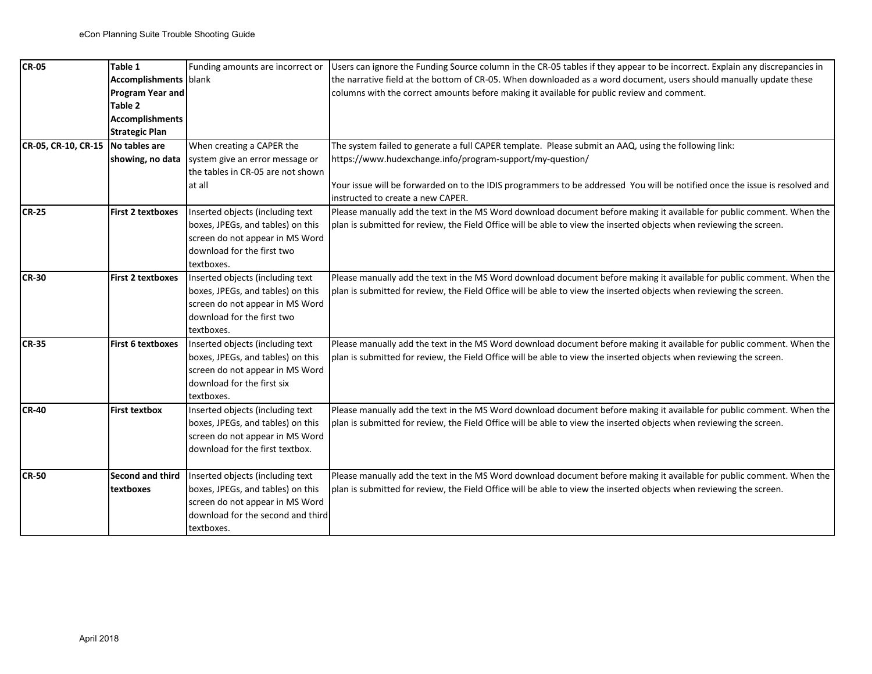| <b>CR-05</b>                      | Table 1                      | Funding amounts are incorrect or  | Users can ignore the Funding Source column in the CR-05 tables if they appear to be incorrect. Explain any discrepancies in |
|-----------------------------------|------------------------------|-----------------------------------|-----------------------------------------------------------------------------------------------------------------------------|
|                                   | <b>Accomplishments</b> blank |                                   | the narrative field at the bottom of CR-05. When downloaded as a word document, users should manually update these          |
|                                   | Program Year and             |                                   | columns with the correct amounts before making it available for public review and comment.                                  |
|                                   | Table 2                      |                                   |                                                                                                                             |
|                                   | <b>Accomplishments</b>       |                                   |                                                                                                                             |
|                                   | <b>Strategic Plan</b>        |                                   |                                                                                                                             |
| CR-05, CR-10, CR-15 No tables are |                              | When creating a CAPER the         | The system failed to generate a full CAPER template. Please submit an AAQ, using the following link:                        |
|                                   | showing, no data             | system give an error message or   | https://www.hudexchange.info/program-support/my-question/                                                                   |
|                                   |                              | the tables in CR-05 are not shown |                                                                                                                             |
|                                   |                              | at all                            | Your issue will be forwarded on to the IDIS programmers to be addressed You will be notified once the issue is resolved and |
|                                   |                              |                                   | instructed to create a new CAPER.                                                                                           |
| <b>CR-25</b>                      | First 2 textboxes            | Inserted objects (including text  | Please manually add the text in the MS Word download document before making it available for public comment. When the       |
|                                   |                              | boxes, JPEGs, and tables) on this | plan is submitted for review, the Field Office will be able to view the inserted objects when reviewing the screen.         |
|                                   |                              | screen do not appear in MS Word   |                                                                                                                             |
|                                   |                              | download for the first two        |                                                                                                                             |
|                                   |                              | textboxes.                        |                                                                                                                             |
| <b>CR-30</b>                      | <b>First 2 textboxes</b>     | Inserted objects (including text  | Please manually add the text in the MS Word download document before making it available for public comment. When the       |
|                                   |                              | boxes, JPEGs, and tables) on this | plan is submitted for review, the Field Office will be able to view the inserted objects when reviewing the screen.         |
|                                   |                              | screen do not appear in MS Word   |                                                                                                                             |
|                                   |                              | download for the first two        |                                                                                                                             |
|                                   |                              | textboxes.                        |                                                                                                                             |
| <b>CR-35</b>                      | First 6 textboxes            | Inserted objects (including text  | Please manually add the text in the MS Word download document before making it available for public comment. When the       |
|                                   |                              | boxes, JPEGs, and tables) on this | plan is submitted for review, the Field Office will be able to view the inserted objects when reviewing the screen.         |
|                                   |                              | screen do not appear in MS Word   |                                                                                                                             |
|                                   |                              | download for the first six        |                                                                                                                             |
|                                   |                              | textboxes.                        |                                                                                                                             |
| <b>CR-40</b>                      | <b>First textbox</b>         | Inserted objects (including text  | Please manually add the text in the MS Word download document before making it available for public comment. When the       |
|                                   |                              | boxes, JPEGs, and tables) on this | plan is submitted for review, the Field Office will be able to view the inserted objects when reviewing the screen.         |
|                                   |                              | screen do not appear in MS Word   |                                                                                                                             |
|                                   |                              | download for the first textbox.   |                                                                                                                             |
|                                   |                              |                                   |                                                                                                                             |
| <b>CR-50</b>                      | <b>Second and third</b>      | Inserted objects (including text  | Please manually add the text in the MS Word download document before making it available for public comment. When the       |
|                                   | textboxes                    | boxes, JPEGs, and tables) on this | plan is submitted for review, the Field Office will be able to view the inserted objects when reviewing the screen.         |
|                                   |                              | screen do not appear in MS Word   |                                                                                                                             |
|                                   |                              | download for the second and third |                                                                                                                             |
|                                   |                              | textboxes.                        |                                                                                                                             |
|                                   |                              |                                   |                                                                                                                             |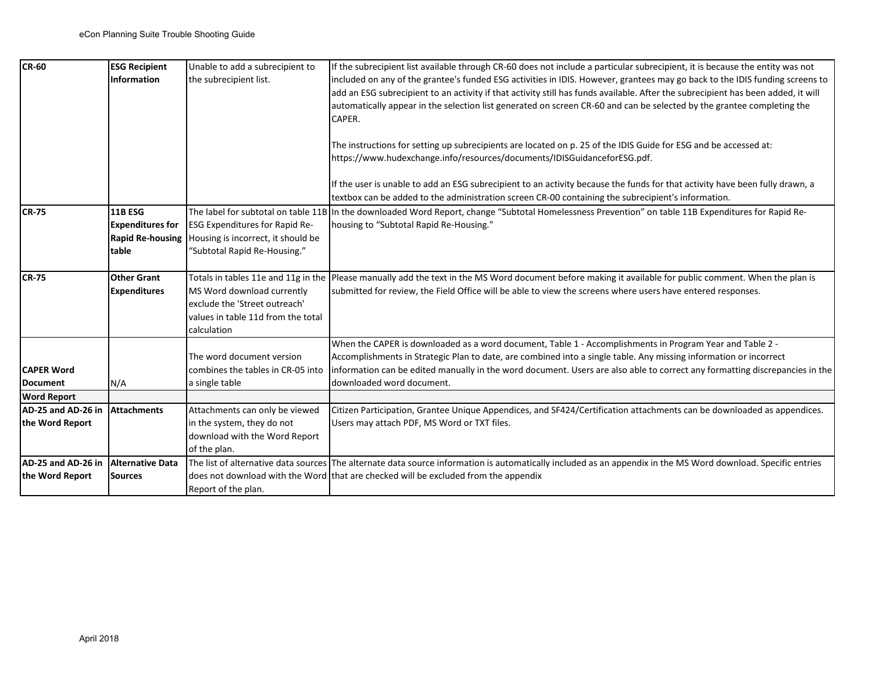| <b>CR-60</b>                        | <b>ESG Recipient</b>    | Unable to add a subrecipient to       | If the subrecipient list available through CR-60 does not include a particular subrecipient, it is because the entity was not                                                                                                                    |
|-------------------------------------|-------------------------|---------------------------------------|--------------------------------------------------------------------------------------------------------------------------------------------------------------------------------------------------------------------------------------------------|
|                                     | <b>Information</b>      | the subrecipient list.                | included on any of the grantee's funded ESG activities in IDIS. However, grantees may go back to the IDIS funding screens to                                                                                                                     |
|                                     |                         |                                       | add an ESG subrecipient to an activity if that activity still has funds available. After the subrecipient has been added, it will                                                                                                                |
|                                     |                         |                                       | automatically appear in the selection list generated on screen CR-60 and can be selected by the grantee completing the                                                                                                                           |
|                                     |                         |                                       | CAPER.                                                                                                                                                                                                                                           |
|                                     |                         |                                       |                                                                                                                                                                                                                                                  |
|                                     |                         |                                       | The instructions for setting up subrecipients are located on p. 25 of the IDIS Guide for ESG and be accessed at:                                                                                                                                 |
|                                     |                         |                                       | https://www.hudexchange.info/resources/documents/IDISGuidanceforESG.pdf.                                                                                                                                                                         |
|                                     |                         |                                       | If the user is unable to add an ESG subrecipient to an activity because the funds for that activity have been fully drawn, a                                                                                                                     |
|                                     |                         |                                       | textbox can be added to the administration screen CR-00 containing the subrecipient's information.                                                                                                                                               |
| <b>CR-75</b>                        | <b>11B ESG</b>          | The label for subtotal on table 11B   | In the downloaded Word Report, change "Subtotal Homelessness Prevention" on table 11B Expenditures for Rapid Re-                                                                                                                                 |
|                                     | <b>Expenditures for</b> | <b>ESG Expenditures for Rapid Re-</b> | housing to "Subtotal Rapid Re-Housing."                                                                                                                                                                                                          |
|                                     | <b>Rapid Re-housing</b> | Housing is incorrect, it should be    |                                                                                                                                                                                                                                                  |
|                                     | ltable                  | "Subtotal Rapid Re-Housing."          |                                                                                                                                                                                                                                                  |
|                                     |                         |                                       |                                                                                                                                                                                                                                                  |
| <b>CR-75</b>                        | <b>Other Grant</b>      | Totals in tables 11e and 11g in the   | Please manually add the text in the MS Word document before making it available for public comment. When the plan is                                                                                                                             |
|                                     | <b>Expenditures</b>     | MS Word download currently            | submitted for review, the Field Office will be able to view the screens where users have entered responses.                                                                                                                                      |
|                                     |                         | exclude the 'Street outreach'         |                                                                                                                                                                                                                                                  |
|                                     |                         | values in table 11d from the total    |                                                                                                                                                                                                                                                  |
|                                     |                         | calculation                           |                                                                                                                                                                                                                                                  |
|                                     |                         | The word document version             | When the CAPER is downloaded as a word document, Table 1 - Accomplishments in Program Year and Table 2 -                                                                                                                                         |
| <b>CAPER Word</b>                   |                         | combines the tables in CR-05 into     | Accomplishments in Strategic Plan to date, are combined into a single table. Any missing information or incorrect<br>information can be edited manually in the word document. Users are also able to correct any formatting discrepancies in the |
| <b>Document</b>                     | N/A                     | a single table                        | downloaded word document.                                                                                                                                                                                                                        |
| <b>Word Report</b>                  |                         |                                       |                                                                                                                                                                                                                                                  |
| AD-25 and AD-26 in                  | <b>Attachments</b>      | Attachments can only be viewed        | Citizen Participation, Grantee Unique Appendices, and SF424/Certification attachments can be downloaded as appendices.                                                                                                                           |
| the Word Report                     |                         | in the system, they do not            | Users may attach PDF, MS Word or TXT files.                                                                                                                                                                                                      |
|                                     |                         | download with the Word Report         |                                                                                                                                                                                                                                                  |
|                                     |                         | of the plan.                          |                                                                                                                                                                                                                                                  |
| AD-25 and AD-26 in Alternative Data |                         |                                       | The list of alternative data sources The alternate data source information is automatically included as an appendix in the MS Word download. Specific entries                                                                                    |
| the Word Report                     | <b>Sources</b>          |                                       | does not download with the Word that are checked will be excluded from the appendix                                                                                                                                                              |
|                                     |                         | Report of the plan.                   |                                                                                                                                                                                                                                                  |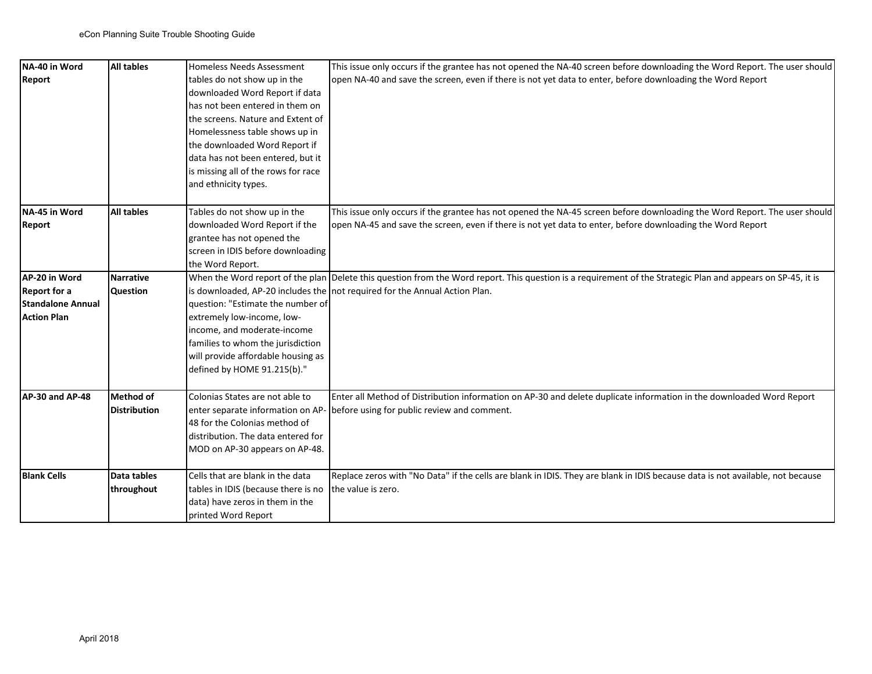| NA-40 in Word            | All tables          | Homeless Needs Assessment           | This issue only occurs if the grantee has not opened the NA-40 screen before downloading the Word Report. The user should                                    |
|--------------------------|---------------------|-------------------------------------|--------------------------------------------------------------------------------------------------------------------------------------------------------------|
| <b>Report</b>            |                     | tables do not show up in the        | open NA-40 and save the screen, even if there is not yet data to enter, before downloading the Word Report                                                   |
|                          |                     | downloaded Word Report if data      |                                                                                                                                                              |
|                          |                     | has not been entered in them on     |                                                                                                                                                              |
|                          |                     | the screens. Nature and Extent of   |                                                                                                                                                              |
|                          |                     | Homelessness table shows up in      |                                                                                                                                                              |
|                          |                     | the downloaded Word Report if       |                                                                                                                                                              |
|                          |                     | data has not been entered, but it   |                                                                                                                                                              |
|                          |                     | is missing all of the rows for race |                                                                                                                                                              |
|                          |                     | and ethnicity types.                |                                                                                                                                                              |
|                          |                     |                                     |                                                                                                                                                              |
| NA-45 in Word            | All tables          | Tables do not show up in the        | This issue only occurs if the grantee has not opened the NA-45 screen before downloading the Word Report. The user should                                    |
| <b>Report</b>            |                     | downloaded Word Report if the       | open NA-45 and save the screen, even if there is not yet data to enter, before downloading the Word Report                                                   |
|                          |                     | grantee has not opened the          |                                                                                                                                                              |
|                          |                     | screen in IDIS before downloading   |                                                                                                                                                              |
| AP-20 in Word            | <b>Narrative</b>    | the Word Report.                    | When the Word report of the plan Delete this question from the Word report. This question is a requirement of the Strategic Plan and appears on SP-45, it is |
| <b>Report for a</b>      | Question            |                                     |                                                                                                                                                              |
| <b>Standalone Annual</b> |                     | question: "Estimate the number of   | is downloaded, AP-20 includes the not required for the Annual Action Plan.                                                                                   |
| <b>Action Plan</b>       |                     | extremely low-income, low-          |                                                                                                                                                              |
|                          |                     | income, and moderate-income         |                                                                                                                                                              |
|                          |                     | families to whom the jurisdiction   |                                                                                                                                                              |
|                          |                     | will provide affordable housing as  |                                                                                                                                                              |
|                          |                     | defined by HOME 91.215(b)."         |                                                                                                                                                              |
|                          |                     |                                     |                                                                                                                                                              |
| AP-30 and AP-48          | Method of           | Colonias States are not able to     | Enter all Method of Distribution information on AP-30 and delete duplicate information in the downloaded Word Report                                         |
|                          | <b>Distribution</b> | enter separate information on AP-   | before using for public review and comment.                                                                                                                  |
|                          |                     | 48 for the Colonias method of       |                                                                                                                                                              |
|                          |                     | distribution. The data entered for  |                                                                                                                                                              |
|                          |                     | MOD on AP-30 appears on AP-48.      |                                                                                                                                                              |
| <b>Blank Cells</b>       | Data tables         | Cells that are blank in the data    | Replace zeros with "No Data" if the cells are blank in IDIS. They are blank in IDIS because data is not available, not because                               |
|                          | throughout          | tables in IDIS (because there is no | the value is zero.                                                                                                                                           |
|                          |                     | data) have zeros in them in the     |                                                                                                                                                              |
|                          |                     | printed Word Report                 |                                                                                                                                                              |